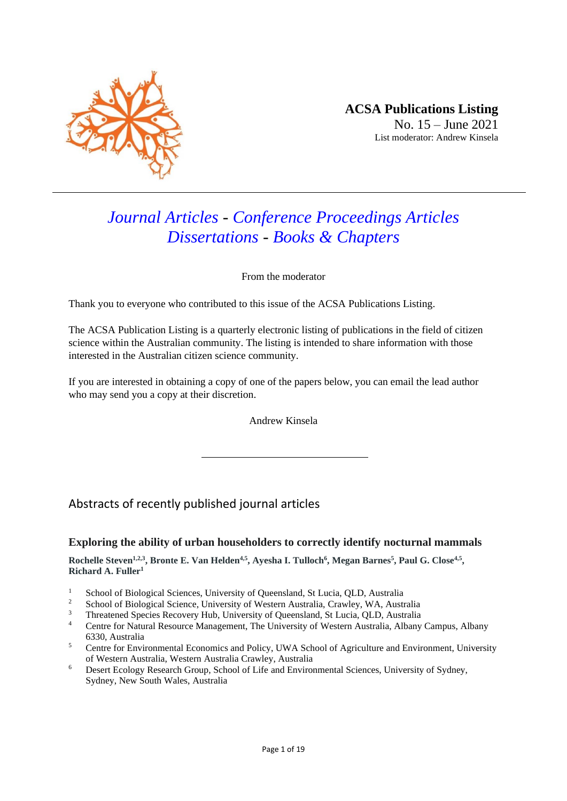

# *Journal Articles - Conference Proceedings Articles Dissertations - Books & Chapters*

From the moderator

Thank you to everyone who contributed to this issue of the ACSA Publications Listing.

The ACSA Publication Listing is a quarterly electronic listing of publications in the field of citizen science within the Australian community. The listing is intended to share information with those interested in the Australian citizen science community.

If you are interested in obtaining a copy of one of the papers below, you can email the lead author who may send you a copy at their discretion.

Andrew Kinsela

## Abstracts of recently published journal articles

#### **Exploring the ability of urban householders to correctly identify nocturnal mammals**

**Rochelle Steven1,2,3 , Bronte E. Van Helden4,5 , Ayesha I. Tulloch<sup>6</sup> , Megan Barnes<sup>5</sup> , Paul G. Close4,5 , Richard A. Fuller<sup>1</sup>**

- <sup>1</sup> School of Biological Sciences, University of Queensland, St Lucia, QLD, Australia
- <sup>2</sup> School of Biological Science, University of Western Australia, Crawley, WA, Australia
- <sup>3</sup> Threatened Species Recovery Hub, University of Queensland, St Lucia, QLD, Australia
- <sup>4</sup> Centre for Natural Resource Management, The University of Western Australia, Albany Campus, Albany 6330, Australia
- <sup>5</sup> Centre for Environmental Economics and Policy, UWA School of Agriculture and Environment, University of Western Australia, Western Australia Crawley, Australia
- <sup>6</sup> Desert Ecology Research Group, School of Life and Environmental Sciences, University of Sydney, Sydney, New South Wales, Australia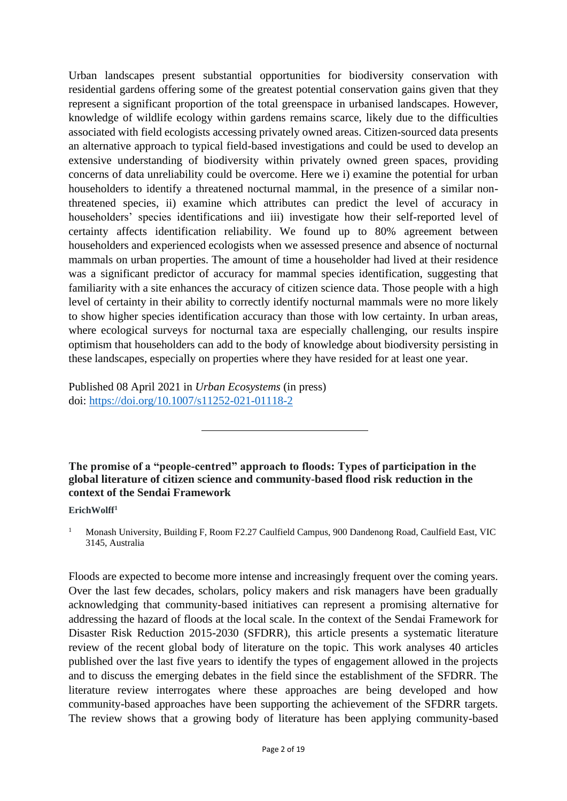Urban landscapes present substantial opportunities for biodiversity conservation with residential gardens offering some of the greatest potential conservation gains given that they represent a significant proportion of the total greenspace in urbanised landscapes. However, knowledge of wildlife ecology within gardens remains scarce, likely due to the difficulties associated with field ecologists accessing privately owned areas. Citizen-sourced data presents an alternative approach to typical field-based investigations and could be used to develop an extensive understanding of biodiversity within privately owned green spaces, providing concerns of data unreliability could be overcome. Here we i) examine the potential for urban householders to identify a threatened nocturnal mammal, in the presence of a similar nonthreatened species, ii) examine which attributes can predict the level of accuracy in householders' species identifications and iii) investigate how their self-reported level of certainty affects identification reliability. We found up to 80% agreement between householders and experienced ecologists when we assessed presence and absence of nocturnal mammals on urban properties. The amount of time a householder had lived at their residence was a significant predictor of accuracy for mammal species identification, suggesting that familiarity with a site enhances the accuracy of citizen science data. Those people with a high level of certainty in their ability to correctly identify nocturnal mammals were no more likely to show higher species identification accuracy than those with low certainty. In urban areas, where ecological surveys for nocturnal taxa are especially challenging, our results inspire optimism that householders can add to the body of knowledge about biodiversity persisting in these landscapes, especially on properties where they have resided for at least one year.

Published 08 April 2021 in *Urban Ecosystems* (in press) doi:<https://doi.org/10.1007/s11252-021-01118-2>

**The promise of a "people-centred" approach to floods: Types of participation in the global literature of citizen science and community-based flood risk reduction in the context of the Sendai Framework**

#### **ErichWolff<sup>1</sup>**

<sup>1</sup> Monash University, Building F, Room F2.27 Caulfield Campus, 900 Dandenong Road, Caulfield East, VIC 3145, Australia

Floods are expected to become more intense and increasingly frequent over the coming years. Over the last few decades, scholars, policy makers and risk managers have been gradually acknowledging that community-based initiatives can represent a promising alternative for addressing the hazard of floods at the local scale. In the context of the Sendai Framework for Disaster Risk Reduction 2015-2030 (SFDRR), this article presents a systematic literature review of the recent global body of literature on the topic. This work analyses 40 articles published over the last five years to identify the types of engagement allowed in the projects and to discuss the emerging debates in the field since the establishment of the SFDRR. The literature review interrogates where these approaches are being developed and how community-based approaches have been supporting the achievement of the SFDRR targets. The review shows that a growing body of literature has been applying community-based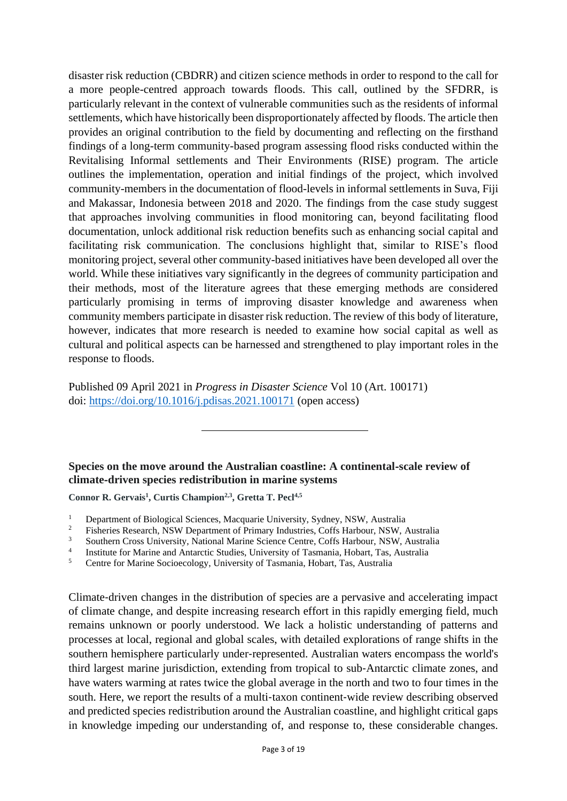disaster risk reduction (CBDRR) and citizen science methods in order to respond to the call for a more people-centred approach towards floods. This call, outlined by the SFDRR, is particularly relevant in the context of vulnerable communities such as the residents of informal settlements, which have historically been disproportionately affected by floods. The article then provides an original contribution to the field by documenting and reflecting on the firsthand findings of a long-term community-based program assessing flood risks conducted within the Revitalising Informal settlements and Their Environments (RISE) program. The article outlines the implementation, operation and initial findings of the project, which involved community-members in the documentation of flood-levels in informal settlements in Suva, Fiji and Makassar, Indonesia between 2018 and 2020. The findings from the case study suggest that approaches involving communities in flood monitoring can, beyond facilitating flood documentation, unlock additional risk reduction benefits such as enhancing social capital and facilitating risk communication. The conclusions highlight that, similar to RISE's flood monitoring project, several other community-based initiatives have been developed all over the world. While these initiatives vary significantly in the degrees of community participation and their methods, most of the literature agrees that these emerging methods are considered particularly promising in terms of improving disaster knowledge and awareness when community members participate in disaster risk reduction. The review of this body of literature, however, indicates that more research is needed to examine how social capital as well as cultural and political aspects can be harnessed and strengthened to play important roles in the response to floods.

Published 09 April 2021 in *Progress in Disaster Science* Vol 10 (Art. 100171) doi:<https://doi.org/10.1016/j.pdisas.2021.100171> (open access)

**Species on the move around the Australian coastline: A continental**‐**scale review of climate**‐**driven species redistribution in marine systems**

**Connor R. Gervais<sup>1</sup> , Curtis Champion2,3 , Gretta T. Pecl4,5**

- <sup>3</sup> Southern Cross University, National Marine Science Centre, Coffs Harbour, NSW, Australia
- 4 Institute for Marine and Antarctic Studies, University of Tasmania, Hobart, Tas, Australia

<sup>5</sup> Centre for Marine Socioecology, University of Tasmania, Hobart, Tas, Australia

Climate‐driven changes in the distribution of species are a pervasive and accelerating impact of climate change, and despite increasing research effort in this rapidly emerging field, much remains unknown or poorly understood. We lack a holistic understanding of patterns and processes at local, regional and global scales, with detailed explorations of range shifts in the southern hemisphere particularly under‐represented. Australian waters encompass the world's third largest marine jurisdiction, extending from tropical to sub‐Antarctic climate zones, and have waters warming at rates twice the global average in the north and two to four times in the south. Here, we report the results of a multi-taxon continent-wide review describing observed and predicted species redistribution around the Australian coastline, and highlight critical gaps in knowledge impeding our understanding of, and response to, these considerable changes.

<sup>&</sup>lt;sup>1</sup> Department of Biological Sciences, Macquarie University, Sydney, NSW, Australia<sup>2</sup>

<sup>&</sup>lt;sup>2</sup> Fisheries Research, NSW Department of Primary Industries, Coffs Harbour, NSW, Australia<br><sup>3</sup> Southern Cross University, National Merine Science Cortre, Coffs Herbour, NSW, Australia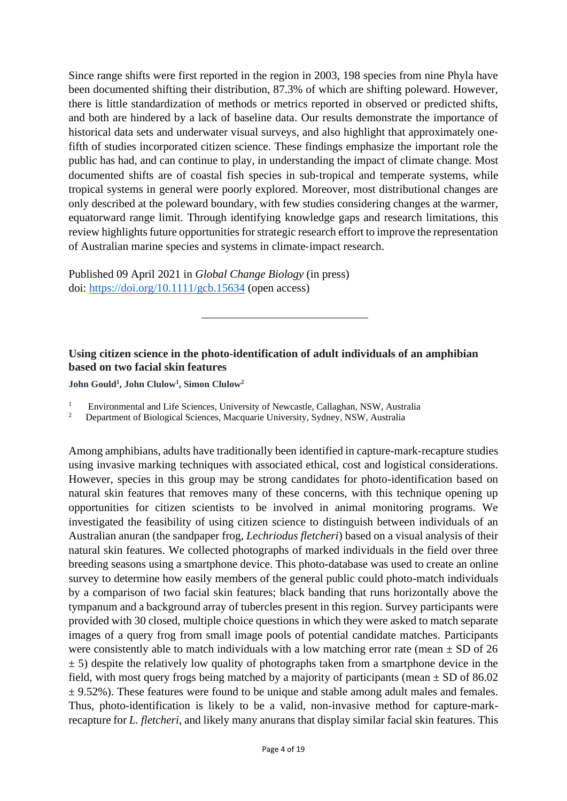Since range shifts were first reported in the region in 2003, 198 species from nine Phyla have been documented shifting their distribution, 87.3% of which are shifting poleward. However, there is little standardization of methods or metrics reported in observed or predicted shifts, and both are hindered by a lack of baseline data. Our results demonstrate the importance of historical data sets and underwater visual surveys, and also highlight that approximately onefifth of studies incorporated citizen science. These findings emphasize the important role the public has had, and can continue to play, in understanding the impact of climate change. Most documented shifts are of coastal fish species in sub‐tropical and temperate systems, while tropical systems in general were poorly explored. Moreover, most distributional changes are only described at the poleward boundary, with few studies considering changes at the warmer, equatorward range limit. Through identifying knowledge gaps and research limitations, this review highlights future opportunities for strategic research effort to improve the representation of Australian marine species and systems in climate‐impact research.

Published 09 April 2021 in *Global Change Biology* (in press) doi:<https://doi.org/10.1111/gcb.15634> (open access)

## **Using citizen science in the photo-identification of adult individuals of an amphibian based on two facial skin features**

**John Gould<sup>1</sup> , John Clulow<sup>1</sup> , Simon Clulow<sup>2</sup>**

- <sup>1</sup> Environmental and Life Sciences, University of Newcastle, Callaghan, NSW, Australia<sup>2</sup> Department of Biological Sciences, Macquarie University, Sydney, NSW, Australia
- <sup>2</sup> Department of Biological Sciences, Macquarie University, Sydney, NSW, Australia

Among amphibians, adults have traditionally been identified in capture-mark-recapture studies using invasive marking techniques with associated ethical, cost and logistical considerations. However, species in this group may be strong candidates for photo-identification based on natural skin features that removes many of these concerns, with this technique opening up opportunities for citizen scientists to be involved in animal monitoring programs. We investigated the feasibility of using citizen science to distinguish between individuals of an Australian anuran (the sandpaper frog, *Lechriodus fletcheri*) based on a visual analysis of their natural skin features. We collected photographs of marked individuals in the field over three breeding seasons using a smartphone device. This photo-database was used to create an online survey to determine how easily members of the general public could photo-match individuals by a comparison of two facial skin features; black banding that runs horizontally above the tympanum and a background array of tubercles present in this region. Survey participants were provided with 30 closed, multiple choice questions in which they were asked to match separate images of a query frog from small image pools of potential candidate matches. Participants were consistently able to match individuals with a low matching error rate (mean  $\pm$  SD of 26  $\pm$  5) despite the relatively low quality of photographs taken from a smartphone device in the field, with most query frogs being matched by a majority of participants (mean  $\pm$  SD of 86.02  $\pm$  9.52%). These features were found to be unique and stable among adult males and females. Thus, photo-identification is likely to be a valid, non-invasive method for capture-markrecapture for *L. fletcheri*, and likely many anurans that display similar facial skin features. This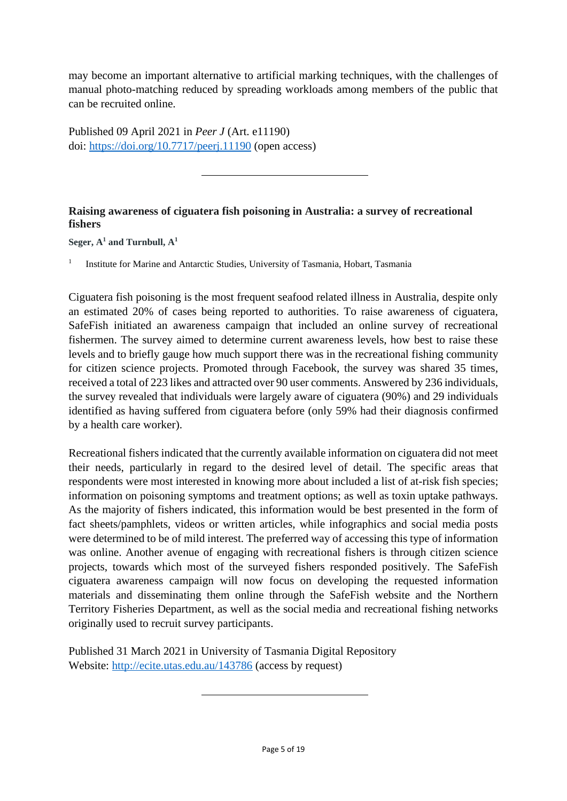may become an important alternative to artificial marking techniques, with the challenges of manual photo-matching reduced by spreading workloads among members of the public that can be recruited online.

Published 09 April 2021 in *Peer J* (Art. e11190) doi: <https://doi.org/10.7717/peerj.11190> (open access)

## **Raising awareness of ciguatera fish poisoning in Australia: a survey of recreational fishers**

**Seger, A<sup>1</sup> and Turnbull, A<sup>1</sup>**

1 Institute for Marine and Antarctic Studies, University of Tasmania, Hobart, Tasmania

Ciguatera fish poisoning is the most frequent seafood related illness in Australia, despite only an estimated 20% of cases being reported to authorities. To raise awareness of ciguatera, SafeFish initiated an awareness campaign that included an online survey of recreational fishermen. The survey aimed to determine current awareness levels, how best to raise these levels and to briefly gauge how much support there was in the recreational fishing community for citizen science projects. Promoted through Facebook, the survey was shared 35 times, received a total of 223 likes and attracted over 90 user comments. Answered by 236 individuals, the survey revealed that individuals were largely aware of ciguatera (90%) and 29 individuals identified as having suffered from ciguatera before (only 59% had their diagnosis confirmed by a health care worker).

Recreational fishers indicated that the currently available information on ciguatera did not meet their needs, particularly in regard to the desired level of detail. The specific areas that respondents were most interested in knowing more about included a list of at-risk fish species; information on poisoning symptoms and treatment options; as well as toxin uptake pathways. As the majority of fishers indicated, this information would be best presented in the form of fact sheets/pamphlets, videos or written articles, while infographics and social media posts were determined to be of mild interest. The preferred way of accessing this type of information was online. Another avenue of engaging with recreational fishers is through citizen science projects, towards which most of the surveyed fishers responded positively. The SafeFish ciguatera awareness campaign will now focus on developing the requested information materials and disseminating them online through the SafeFish website and the Northern Territory Fisheries Department, as well as the social media and recreational fishing networks originally used to recruit survey participants.

Published 31 March 2021 in University of Tasmania Digital Repository Website: <http://ecite.utas.edu.au/143786> (access by request)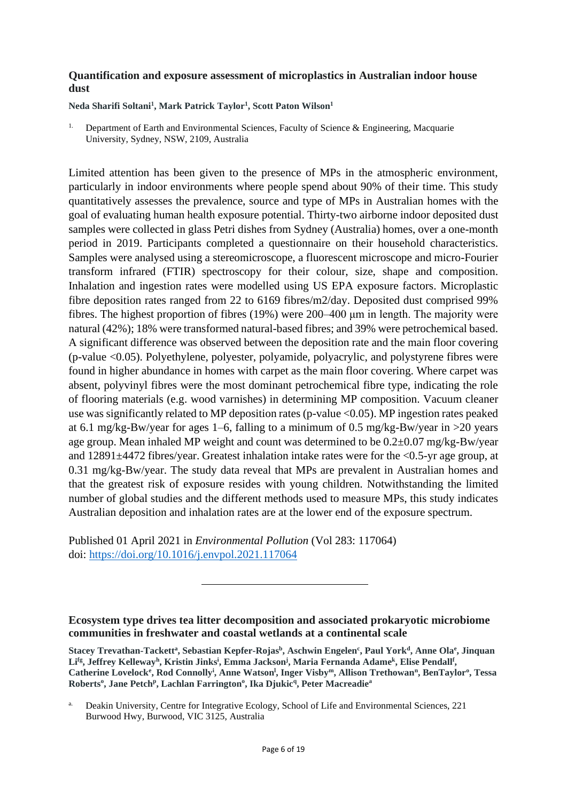#### **Quantification and exposure assessment of microplastics in Australian indoor house dust**

**Neda Sharifi Soltani<sup>1</sup> , Mark Patrick Taylor<sup>1</sup> , Scott Paton Wilson<sup>1</sup>**

1. Department of Earth and Environmental Sciences, Faculty of Science & Engineering, Macquarie University, Sydney, NSW, 2109, Australia

Limited attention has been given to the presence of MPs in the atmospheric environment, particularly in indoor environments where people spend about 90% of their time. This study quantitatively assesses the prevalence, source and type of MPs in Australian homes with the goal of evaluating human health exposure potential. Thirty-two airborne indoor deposited dust samples were collected in glass Petri dishes from Sydney (Australia) homes, over a one-month period in 2019. Participants completed a questionnaire on their household characteristics. Samples were analysed using a stereomicroscope, a fluorescent microscope and micro-Fourier transform infrared (FTIR) spectroscopy for their colour, size, shape and composition. Inhalation and ingestion rates were modelled using US EPA exposure factors. Microplastic fibre deposition rates ranged from 22 to 6169 fibres/m2/day. Deposited dust comprised 99% fibres. The highest proportion of fibres (19%) were 200–400 μm in length. The majority were natural (42%); 18% were transformed natural-based fibres; and 39% were petrochemical based. A significant difference was observed between the deposition rate and the main floor covering (p-value <0.05). Polyethylene, polyester, polyamide, polyacrylic, and polystyrene fibres were found in higher abundance in homes with carpet as the main floor covering. Where carpet was absent, polyvinyl fibres were the most dominant petrochemical fibre type, indicating the role of flooring materials (e.g. wood varnishes) in determining MP composition. Vacuum cleaner use was significantly related to MP deposition rates (p-value <0.05). MP ingestion rates peaked at 6.1 mg/kg-Bw/year for ages 1–6, falling to a minimum of 0.5 mg/kg-Bw/year in >20 years age group. Mean inhaled MP weight and count was determined to be 0.2±0.07 mg/kg-Bw/year and 12891±4472 fibres/year. Greatest inhalation intake rates were for the <0.5-yr age group, at 0.31 mg/kg-Bw/year. The study data reveal that MPs are prevalent in Australian homes and that the greatest risk of exposure resides with young children. Notwithstanding the limited number of global studies and the different methods used to measure MPs, this study indicates Australian deposition and inhalation rates are at the lower end of the exposure spectrum.

Published 01 April 2021 in *Environmental Pollution* (Vol 283: 117064) doi:<https://doi.org/10.1016/j.envpol.2021.117064>

**Ecosystem type drives tea litter decomposition and associated prokaryotic microbiome communities in freshwater and coastal wetlands at a continental scale**

**Stacey Trevathan-Tackett<sup>a</sup> , Sebastian Kepfer-Rojas<sup>b</sup> , Aschwin Engelen<sup>c</sup> , Paul York<sup>d</sup> , Anne Ola<sup>e</sup> , Jinquan Lifg , Jeffrey Kelleway<sup>h</sup> , Kristin Jinks<sup>i</sup> , Emma Jackson<sup>j</sup> , Maria Fernanda Adame<sup>k</sup> , Elise Pendall<sup>f</sup> , Catherine Lovelock<sup>e</sup> , Rod Connolly<sup>i</sup> , Anne Watson<sup>l</sup> , Inger Visby<sup>m</sup>, Allison Trethowan<sup>n</sup> , BenTaylor<sup>o</sup> , Tessa Roberts<sup>o</sup> , Jane Petch<sup>p</sup> , Lachlan Farrington<sup>o</sup> , Ika Djukic<sup>q</sup> , Peter Macreadie<sup>a</sup>**

Deakin University, Centre for Integrative Ecology, School of Life and Environmental Sciences, 221 Burwood Hwy, Burwood, VIC 3125, Australia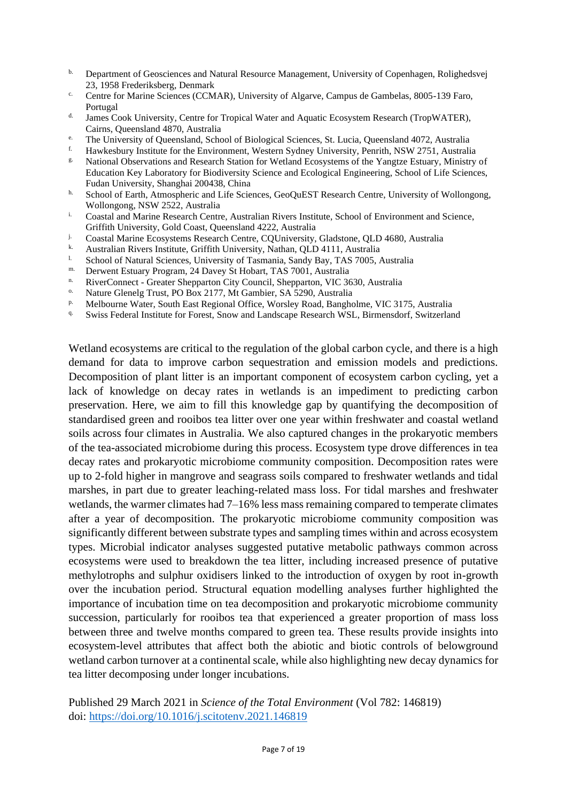- <sup>b.</sup> Department of Geosciences and Natural Resource Management, University of Copenhagen, Rolighedsvej 23, 1958 Frederiksberg, Denmark
- <sup>c.</sup> Centre for Marine Sciences (CCMAR), University of Algarve, Campus de Gambelas, 8005-139 Faro, Portugal
- d. James Cook University, Centre for Tropical Water and Aquatic Ecosystem Research (TropWATER), Cairns, Queensland 4870, Australia
- <sup>e.</sup> The University of Queensland, School of Biological Sciences, St. Lucia, Queensland 4072, Australia<br>La Hourlochury Institute for the Environment Western Sydney University, Bonith, NSW 2751, Australia
- f. Hawkesbury Institute for the Environment, Western Sydney University, Penrith, NSW 2751, Australia
- <sup>g.</sup> National Observations and Research Station for Wetland Ecosystems of the Yangtze Estuary, Ministry of Education Key Laboratory for Biodiversity Science and Ecological Engineering, School of Life Sciences, Fudan University, Shanghai 200438, China
- h. School of Earth, Atmospheric and Life Sciences, GeoQuEST Research Centre, University of Wollongong, Wollongong, NSW 2522, Australia
- i. Coastal and Marine Research Centre, Australian Rivers Institute, School of Environment and Science, Griffith University, Gold Coast, Queensland 4222, Australia
- <sup>j.</sup> Coastal Marine Ecosystems Research Centre, CQUniversity, Gladstone, QLD 4680, Australia
- <sup>k.</sup> Australian Rivers Institute, Griffith University, Nathan, QLD 4111, Australia
- l. School of Natural Sciences, University of Tasmania, Sandy Bay, TAS 7005, Australia
- m. Derwent Estuary Program, 24 Davey St Hobart, TAS 7001, Australia
- <sup>n.</sup> RiverConnect Greater Shepparton City Council, Shepparton, VIC 3630, Australia
- Nature Glenelg Trust, PO Box 2177, Mt Gambier, SA 5290, Australia
- p. Melbourne Water, South East Regional Office, Worsley Road, Bangholme, VIC 3175, Australia
- <sup>q.</sup> Swiss Federal Institute for Forest, Snow and Landscape Research WSL, Birmensdorf, Switzerland

Wetland ecosystems are critical to the regulation of the global carbon cycle, and there is a high demand for data to improve carbon sequestration and emission models and predictions. Decomposition of plant litter is an important component of ecosystem carbon cycling, yet a lack of knowledge on decay rates in wetlands is an impediment to predicting carbon preservation. Here, we aim to fill this knowledge gap by quantifying the decomposition of standardised green and rooibos tea litter over one year within freshwater and coastal wetland soils across four climates in Australia. We also captured changes in the prokaryotic members of the tea-associated microbiome during this process. Ecosystem type drove differences in tea decay rates and prokaryotic microbiome community composition. Decomposition rates were up to 2-fold higher in mangrove and seagrass soils compared to freshwater wetlands and tidal marshes, in part due to greater leaching-related mass loss. For tidal marshes and freshwater wetlands, the warmer climates had 7–16% less mass remaining compared to temperate climates after a year of decomposition. The prokaryotic microbiome community composition was significantly different between substrate types and sampling times within and across ecosystem types. Microbial indicator analyses suggested putative metabolic pathways common across ecosystems were used to breakdown the tea litter, including increased presence of putative methylotrophs and sulphur oxidisers linked to the introduction of oxygen by root in-growth over the incubation period. Structural equation modelling analyses further highlighted the importance of incubation time on tea decomposition and prokaryotic microbiome community succession, particularly for rooibos tea that experienced a greater proportion of mass loss between three and twelve months compared to green tea. These results provide insights into ecosystem-level attributes that affect both the abiotic and biotic controls of belowground wetland carbon turnover at a continental scale, while also highlighting new decay dynamics for tea litter decomposing under longer incubations.

Published 29 March 2021 in *Science of the Total Environment* (Vol 782: 146819) doi:<https://doi.org/10.1016/j.scitotenv.2021.146819>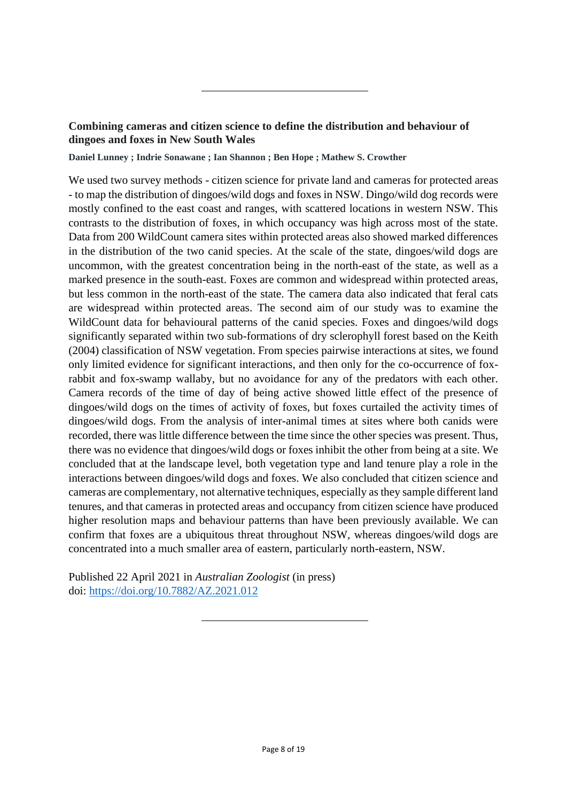## **Combining cameras and citizen science to define the distribution and behaviour of dingoes and foxes in New South Wales**

**Daniel Lunney ; Indrie Sonawane ; Ian Shannon ; Ben Hope ; Mathew S. Crowther**

We used two survey methods - citizen science for private land and cameras for protected areas - to map the distribution of dingoes/wild dogs and foxes in NSW. Dingo/wild dog records were mostly confined to the east coast and ranges, with scattered locations in western NSW. This contrasts to the distribution of foxes, in which occupancy was high across most of the state. Data from 200 WildCount camera sites within protected areas also showed marked differences in the distribution of the two canid species. At the scale of the state, dingoes/wild dogs are uncommon, with the greatest concentration being in the north-east of the state, as well as a marked presence in the south-east. Foxes are common and widespread within protected areas, but less common in the north-east of the state. The camera data also indicated that feral cats are widespread within protected areas. The second aim of our study was to examine the WildCount data for behavioural patterns of the canid species. Foxes and dingoes/wild dogs significantly separated within two sub-formations of dry sclerophyll forest based on the Keith (2004) classification of NSW vegetation. From species pairwise interactions at sites, we found only limited evidence for significant interactions, and then only for the co-occurrence of foxrabbit and fox-swamp wallaby, but no avoidance for any of the predators with each other. Camera records of the time of day of being active showed little effect of the presence of dingoes/wild dogs on the times of activity of foxes, but foxes curtailed the activity times of dingoes/wild dogs. From the analysis of inter-animal times at sites where both canids were recorded, there was little difference between the time since the other species was present. Thus, there was no evidence that dingoes/wild dogs or foxes inhibit the other from being at a site. We concluded that at the landscape level, both vegetation type and land tenure play a role in the interactions between dingoes/wild dogs and foxes. We also concluded that citizen science and cameras are complementary, not alternative techniques, especially as they sample different land tenures, and that cameras in protected areas and occupancy from citizen science have produced higher resolution maps and behaviour patterns than have been previously available. We can confirm that foxes are a ubiquitous threat throughout NSW, whereas dingoes/wild dogs are concentrated into a much smaller area of eastern, particularly north-eastern, NSW.

Published 22 April 2021 in *Australian Zoologist* (in press) doi:<https://doi.org/10.7882/AZ.2021.012>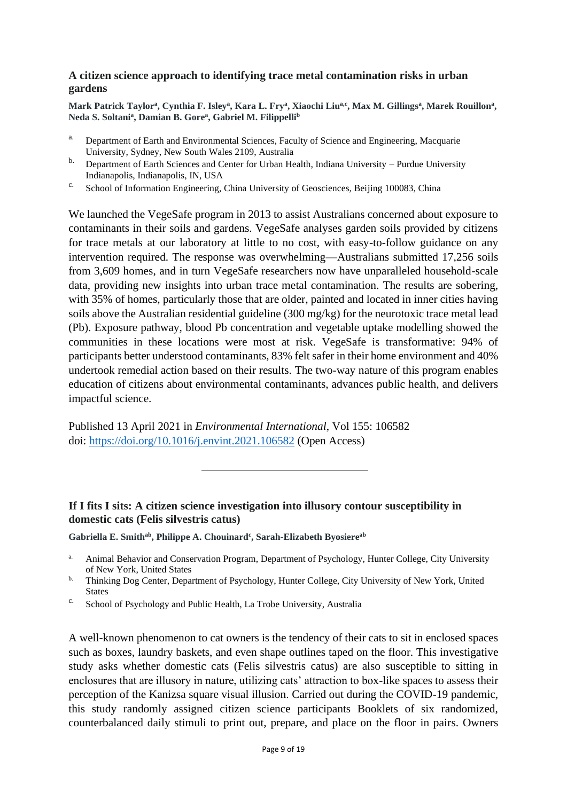#### **A citizen science approach to identifying trace metal contamination risks in urban gardens**

Mark Patrick Taylor<sup>a</sup>, Cynthia F. Isley<sup>a</sup>, Kara L. Fry<sup>a</sup>, Xiaochi Liu<sup>a,c</sup>, Max M. Gillings<sup>a</sup>, Marek Rouillon<sup>a</sup>, **Neda S. Soltani<sup>a</sup> , Damian B. Gore<sup>a</sup> , Gabriel M. Filippelli<sup>b</sup>**

- <sup>a.</sup> Department of Earth and Environmental Sciences, Faculty of Science and Engineering, Macquarie University, Sydney, New South Wales 2109, Australia
- <sup>b.</sup> Department of Earth Sciences and Center for Urban Health, Indiana University Purdue University Indianapolis, Indianapolis, IN, USA
- c. School of Information Engineering, China University of Geosciences, Beijing 100083, China

We launched the VegeSafe program in 2013 to assist Australians concerned about exposure to contaminants in their soils and gardens. VegeSafe analyses garden soils provided by citizens for trace metals at our laboratory at little to no cost, with easy-to-follow guidance on any intervention required. The response was overwhelming—Australians submitted 17,256 soils from 3,609 homes, and in turn VegeSafe researchers now have unparalleled household-scale data, providing new insights into urban trace metal contamination. The results are sobering, with 35% of homes, particularly those that are older, painted and located in inner cities having soils above the Australian residential guideline (300 mg/kg) for the neurotoxic trace metal lead (Pb). Exposure pathway, blood Pb concentration and vegetable uptake modelling showed the communities in these locations were most at risk. VegeSafe is transformative: 94% of participants better understood contaminants, 83% felt safer in their home environment and 40% undertook remedial action based on their results. The two-way nature of this program enables education of citizens about environmental contaminants, advances public health, and delivers impactful science.

Published 13 April 2021 in *Environmental International*, Vol 155: 106582 doi:<https://doi.org/10.1016/j.envint.2021.106582> (Open Access)

#### **If I fits I sits: A citizen science investigation into illusory contour susceptibility in domestic cats (Felis silvestris catus)**

**Gabriella E. Smithab , Philippe A. Chouinard<sup>c</sup> , Sarah-Elizabeth Byosiereab**

- <sup>b.</sup> Thinking Dog Center, Department of Psychology, Hunter College, City University of New York, United **States**
- c. School of Psychology and Public Health, La Trobe University, Australia

A well-known phenomenon to cat owners is the tendency of their cats to sit in enclosed spaces such as boxes, laundry baskets, and even shape outlines taped on the floor. This investigative study asks whether domestic cats (Felis silvestris catus) are also susceptible to sitting in enclosures that are illusory in nature, utilizing cats' attraction to box-like spaces to assess their perception of the Kanizsa square visual illusion. Carried out during the COVID-19 pandemic, this study randomly assigned citizen science participants Booklets of six randomized, counterbalanced daily stimuli to print out, prepare, and place on the floor in pairs. Owners

<sup>&</sup>lt;sup>a.</sup> Animal Behavior and Conservation Program, Department of Psychology, Hunter College, City University of New York, United States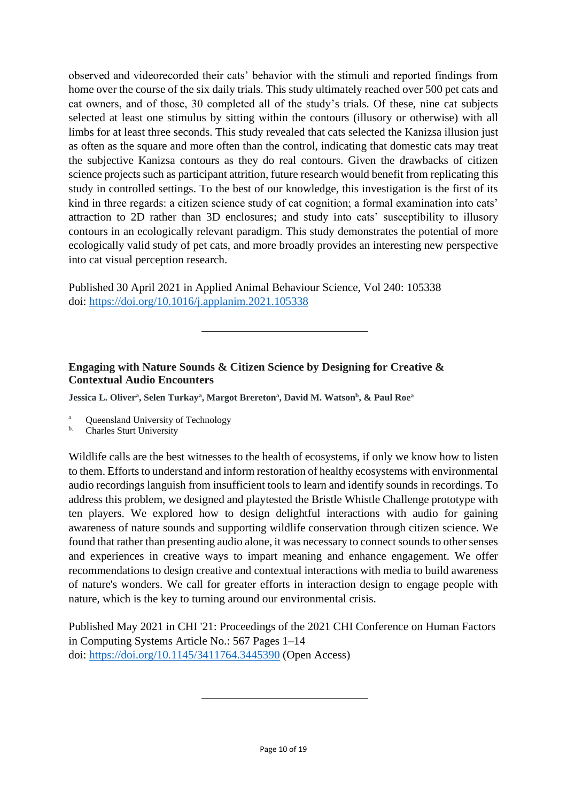observed and videorecorded their cats' behavior with the stimuli and reported findings from home over the course of the six daily trials. This study ultimately reached over 500 pet cats and cat owners, and of those, 30 completed all of the study's trials. Of these, nine cat subjects selected at least one stimulus by sitting within the contours (illusory or otherwise) with all limbs for at least three seconds. This study revealed that cats selected the Kanizsa illusion just as often as the square and more often than the control, indicating that domestic cats may treat the subjective Kanizsa contours as they do real contours. Given the drawbacks of citizen science projects such as participant attrition, future research would benefit from replicating this study in controlled settings. To the best of our knowledge, this investigation is the first of its kind in three regards: a citizen science study of cat cognition; a formal examination into cats' attraction to 2D rather than 3D enclosures; and study into cats' susceptibility to illusory contours in an ecologically relevant paradigm. This study demonstrates the potential of more ecologically valid study of pet cats, and more broadly provides an interesting new perspective into cat visual perception research.

Published 30 April 2021 in Applied Animal Behaviour Science, Vol 240: 105338 doi:<https://doi.org/10.1016/j.applanim.2021.105338>

## **Engaging with Nature Sounds & Citizen Science by Designing for Creative & Contextual Audio Encounters**

**Jessica L. Oliver<sup>a</sup> , Selen Turkay<sup>a</sup> , Margot Brereton<sup>a</sup> , David M. Watson<sup>b</sup> , & Paul Roe<sup>a</sup>**

- a. Queensland University of Technology
- b. Charles Sturt University

Wildlife calls are the best witnesses to the health of ecosystems, if only we know how to listen to them. Efforts to understand and inform restoration of healthy ecosystems with environmental audio recordings languish from insufficient tools to learn and identify sounds in recordings. To address this problem, we designed and playtested the Bristle Whistle Challenge prototype with ten players. We explored how to design delightful interactions with audio for gaining awareness of nature sounds and supporting wildlife conservation through citizen science. We found that rather than presenting audio alone, it was necessary to connect sounds to other senses and experiences in creative ways to impart meaning and enhance engagement. We offer recommendations to design creative and contextual interactions with media to build awareness of nature's wonders. We call for greater efforts in interaction design to engage people with nature, which is the key to turning around our environmental crisis.

Published May 2021 in CHI '21: Proceedings of the 2021 CHI Conference on Human Factors in Computing Systems Article No.: 567 Pages 1–14 doi:<https://doi.org/10.1145/3411764.3445390> (Open Access)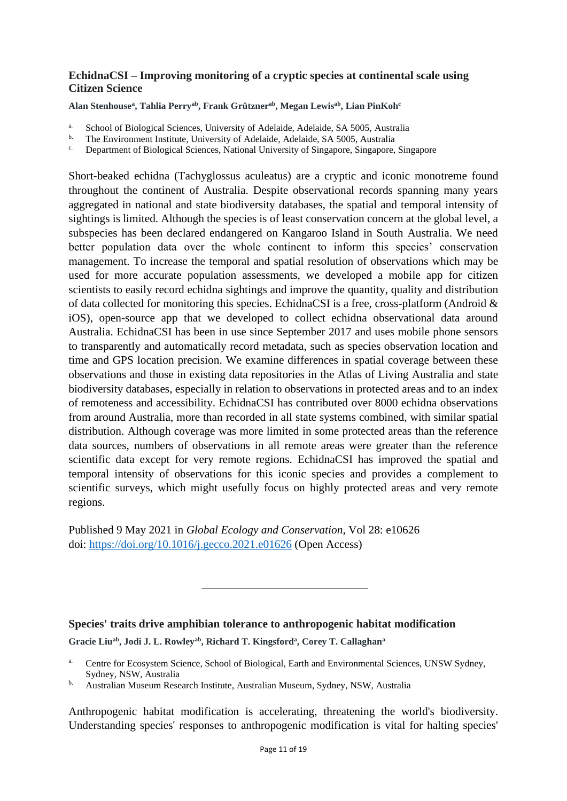#### **EchidnaCSI – Improving monitoring of a cryptic species at continental scale using Citizen Science**

**Alan Stenhouse<sup>a</sup> , Tahlia Perryab , Frank Grütznerab , Megan Lewisab , Lian PinKoh<sup>c</sup>**

- <sup>a.</sup> School of Biological Sciences, University of Adelaide, Adelaide, SA 5005, Australia
- <sup>b.</sup> The Environment Institute, University of Adelaide, Adelaide, SA 5005, Australia
- <sup>c.</sup> Department of Biological Sciences, National University of Singapore, Singapore, Singapore

Short-beaked echidna (Tachyglossus aculeatus) are a cryptic and iconic monotreme found throughout the continent of Australia. Despite observational records spanning many years aggregated in national and state biodiversity databases, the spatial and temporal intensity of sightings is limited. Although the species is of least conservation concern at the global level, a subspecies has been declared endangered on Kangaroo Island in South Australia. We need better population data over the whole continent to inform this species' conservation management. To increase the temporal and spatial resolution of observations which may be used for more accurate population assessments, we developed a mobile app for citizen scientists to easily record echidna sightings and improve the quantity, quality and distribution of data collected for monitoring this species. EchidnaCSI is a free, cross-platform (Android & iOS), open-source app that we developed to collect echidna observational data around Australia. EchidnaCSI has been in use since September 2017 and uses mobile phone sensors to transparently and automatically record metadata, such as species observation location and time and GPS location precision. We examine differences in spatial coverage between these observations and those in existing data repositories in the Atlas of Living Australia and state biodiversity databases, especially in relation to observations in protected areas and to an index of remoteness and accessibility. EchidnaCSI has contributed over 8000 echidna observations from around Australia, more than recorded in all state systems combined, with similar spatial distribution. Although coverage was more limited in some protected areas than the reference data sources, numbers of observations in all remote areas were greater than the reference scientific data except for very remote regions. EchidnaCSI has improved the spatial and temporal intensity of observations for this iconic species and provides a complement to scientific surveys, which might usefully focus on highly protected areas and very remote regions.

Published 9 May 2021 in *Global Ecology and Conservation*, Vol 28: e10626 doi:<https://doi.org/10.1016/j.gecco.2021.e01626> (Open Access)

#### **Species' traits drive amphibian tolerance to anthropogenic habitat modification**

**Gracie Liuab, Jodi J. L. Rowleyab, Richard T. Kingsford<sup>a</sup> , Corey T. Callaghan<sup>a</sup>**

- Centre for Ecosystem Science, School of Biological, Earth and Environmental Sciences, UNSW Sydney, Sydney, NSW, Australia
- b. Australian Museum Research Institute, Australian Museum, Sydney, NSW, Australia

Anthropogenic habitat modification is accelerating, threatening the world's biodiversity. Understanding species' responses to anthropogenic modification is vital for halting species'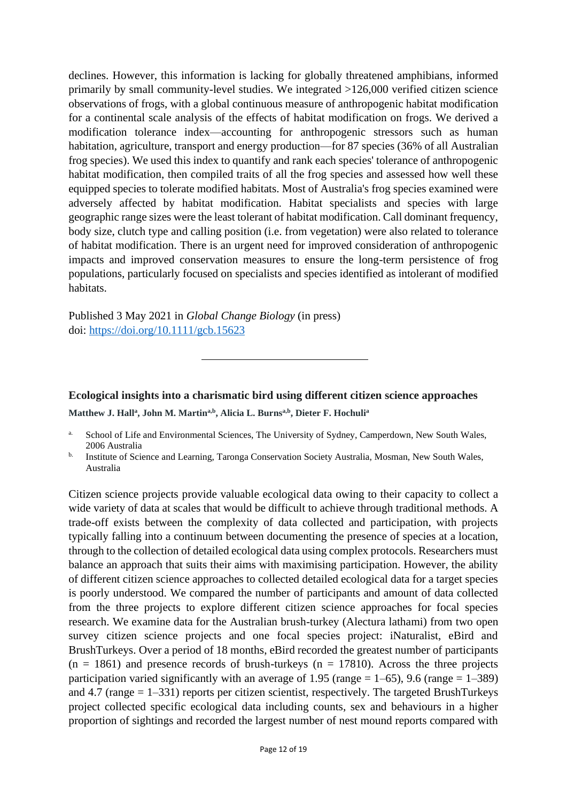declines. However, this information is lacking for globally threatened amphibians, informed primarily by small community-level studies. We integrated >126,000 verified citizen science observations of frogs, with a global continuous measure of anthropogenic habitat modification for a continental scale analysis of the effects of habitat modification on frogs. We derived a modification tolerance index—accounting for anthropogenic stressors such as human habitation, agriculture, transport and energy production—for 87 species (36% of all Australian frog species). We used this index to quantify and rank each species' tolerance of anthropogenic habitat modification, then compiled traits of all the frog species and assessed how well these equipped species to tolerate modified habitats. Most of Australia's frog species examined were adversely affected by habitat modification. Habitat specialists and species with large geographic range sizes were the least tolerant of habitat modification. Call dominant frequency, body size, clutch type and calling position (i.e. from vegetation) were also related to tolerance of habitat modification. There is an urgent need for improved consideration of anthropogenic impacts and improved conservation measures to ensure the long-term persistence of frog populations, particularly focused on specialists and species identified as intolerant of modified habitats.

Published 3 May 2021 in *Global Change Biology* (in press) doi:<https://doi.org/10.1111/gcb.15623>

**Ecological insights into a charismatic bird using different citizen science approaches Matthew J. Hall<sup>a</sup> , John M. Martina,b, Alicia L. Burnsa,b, Dieter F. Hochuli<sup>a</sup>**

Citizen science projects provide valuable ecological data owing to their capacity to collect a wide variety of data at scales that would be difficult to achieve through traditional methods. A trade-off exists between the complexity of data collected and participation, with projects typically falling into a continuum between documenting the presence of species at a location, through to the collection of detailed ecological data using complex protocols. Researchers must balance an approach that suits their aims with maximising participation. However, the ability of different citizen science approaches to collected detailed ecological data for a target species is poorly understood. We compared the number of participants and amount of data collected from the three projects to explore different citizen science approaches for focal species research. We examine data for the Australian brush-turkey (Alectura lathami) from two open survey citizen science projects and one focal species project: iNaturalist, eBird and BrushTurkeys. Over a period of 18 months, eBird recorded the greatest number of participants  $(n = 1861)$  and presence records of brush-turkeys  $(n = 17810)$ . Across the three projects participation varied significantly with an average of 1.95 (range  $= 1-65$ ), 9.6 (range  $= 1-389$ ) and 4.7 (range  $= 1-331$ ) reports per citizen scientist, respectively. The targeted BrushTurkeys project collected specific ecological data including counts, sex and behaviours in a higher proportion of sightings and recorded the largest number of nest mound reports compared with

<sup>&</sup>lt;sup>a.</sup> School of Life and Environmental Sciences, The University of Sydney, Camperdown, New South Wales, 2006 Australia

<sup>&</sup>lt;sup>b.</sup> Institute of Science and Learning, Taronga Conservation Society Australia, Mosman, New South Wales, Australia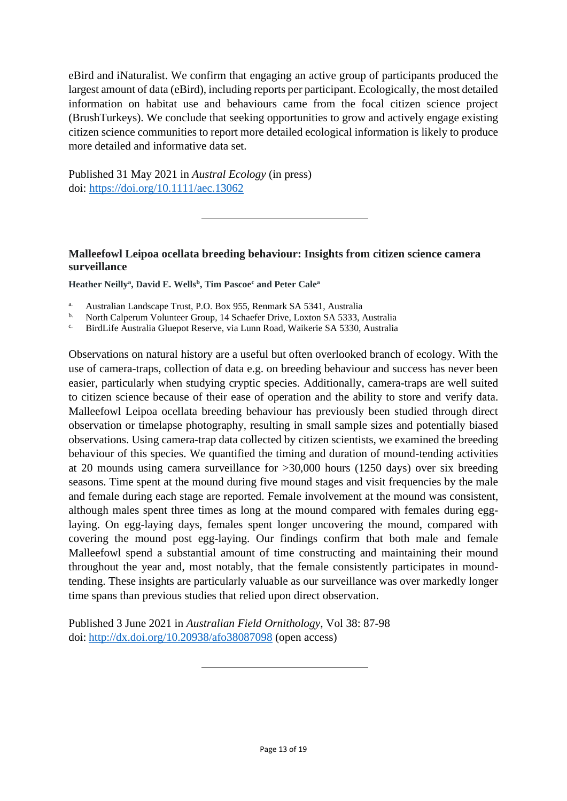eBird and iNaturalist. We confirm that engaging an active group of participants produced the largest amount of data (eBird), including reports per participant. Ecologically, the most detailed information on habitat use and behaviours came from the focal citizen science project (BrushTurkeys). We conclude that seeking opportunities to grow and actively engage existing citizen science communities to report more detailed ecological information is likely to produce more detailed and informative data set.

Published 31 May 2021 in *Austral Ecology* (in press) doi:<https://doi.org/10.1111/aec.13062>

## **Malleefowl Leipoa ocellata breeding behaviour: Insights from citizen science camera surveillance**

**Heather Neilly<sup>a</sup> , David E. Wells<sup>b</sup> , Tim Pascoe<sup>c</sup> and Peter Cale<sup>a</sup>**

- <sup>a.</sup> Australian Landscape Trust, P.O. Box 955, Renmark SA 5341, Australia
- <sup>b.</sup> North Calperum Volunteer Group, 14 Schaefer Drive, Loxton SA 5333, Australia<br><sup>c.</sup> BirdJ ife Australia Gluenot Beserve, via Lunn Boad, Waikerie SA 5330, Australia
- c. BirdLife Australia Gluepot Reserve, via Lunn Road, Waikerie SA 5330, Australia

Observations on natural history are a useful but often overlooked branch of ecology. With the use of camera-traps, collection of data e.g. on breeding behaviour and success has never been easier, particularly when studying cryptic species. Additionally, camera-traps are well suited to citizen science because of their ease of operation and the ability to store and verify data. Malleefowl Leipoa ocellata breeding behaviour has previously been studied through direct observation or timelapse photography, resulting in small sample sizes and potentially biased observations. Using camera-trap data collected by citizen scientists, we examined the breeding behaviour of this species. We quantified the timing and duration of mound-tending activities at 20 mounds using camera surveillance for >30,000 hours (1250 days) over six breeding seasons. Time spent at the mound during five mound stages and visit frequencies by the male and female during each stage are reported. Female involvement at the mound was consistent, although males spent three times as long at the mound compared with females during egglaying. On egg-laying days, females spent longer uncovering the mound, compared with covering the mound post egg-laying. Our findings confirm that both male and female Malleefowl spend a substantial amount of time constructing and maintaining their mound throughout the year and, most notably, that the female consistently participates in moundtending. These insights are particularly valuable as our surveillance was over markedly longer time spans than previous studies that relied upon direct observation.

Published 3 June 2021 in *Australian Field Ornithology*, Vol 38: 87-98 doi: <http://dx.doi.org/10.20938/afo38087098> (open access)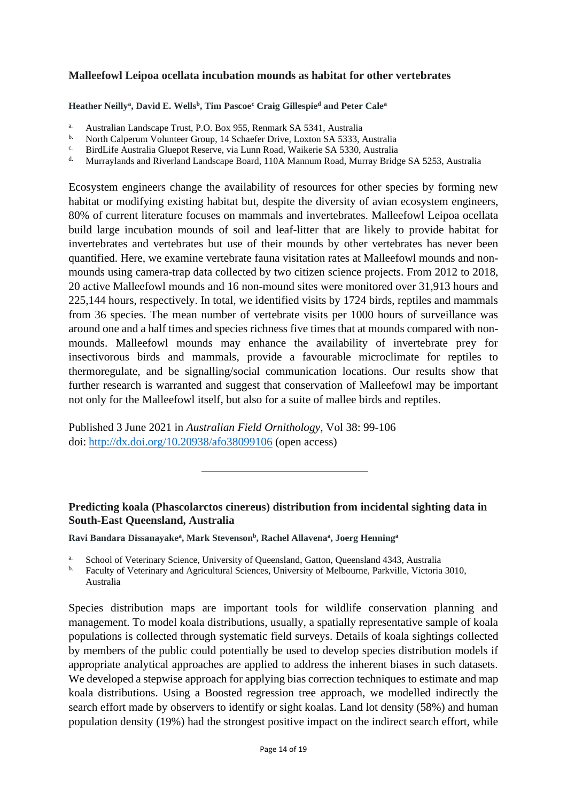#### **Malleefowl Leipoa ocellata incubation mounds as habitat for other vertebrates**

**Heather Neilly<sup>a</sup> , David E. Wells<sup>b</sup> , Tim Pascoe<sup>c</sup> Craig Gillespie<sup>d</sup> and Peter Cale<sup>a</sup>**

- a. Australian Landscape Trust, P.O. Box 955, Renmark SA 5341, Australia
- <sup>b.</sup> North Calperum Volunteer Group, 14 Schaefer Drive, Loxton SA 5333, Australia
- <sup>c.</sup> BirdLife Australia Gluepot Reserve, via Lunn Road, Waikerie SA 5330, Australia<br>Murrey Pride
- Murraylands and Riverland Landscape Board, 110A Mannum Road, Murray Bridge SA 5253, Australia

Ecosystem engineers change the availability of resources for other species by forming new habitat or modifying existing habitat but, despite the diversity of avian ecosystem engineers, 80% of current literature focuses on mammals and invertebrates. Malleefowl Leipoa ocellata build large incubation mounds of soil and leaf-litter that are likely to provide habitat for invertebrates and vertebrates but use of their mounds by other vertebrates has never been quantified. Here, we examine vertebrate fauna visitation rates at Malleefowl mounds and nonmounds using camera-trap data collected by two citizen science projects. From 2012 to 2018, 20 active Malleefowl mounds and 16 non-mound sites were monitored over 31,913 hours and 225,144 hours, respectively. In total, we identified visits by 1724 birds, reptiles and mammals from 36 species. The mean number of vertebrate visits per 1000 hours of surveillance was around one and a half times and species richness five times that at mounds compared with nonmounds. Malleefowl mounds may enhance the availability of invertebrate prey for insectivorous birds and mammals, provide a favourable microclimate for reptiles to thermoregulate, and be signalling/social communication locations. Our results show that further research is warranted and suggest that conservation of Malleefowl may be important not only for the Malleefowl itself, but also for a suite of mallee birds and reptiles.

Published 3 June 2021 in *Australian Field Ornithology*, Vol 38: 99-106 doi: <http://dx.doi.org/10.20938/afo38099106> (open access)

## **Predicting koala (Phascolarctos cinereus) distribution from incidental sighting data in South-East Queensland, Australia**

**Ravi Bandara Dissanayake<sup>a</sup> , Mark Stevenson<sup>b</sup> , Rachel Allavena<sup>a</sup> , Joerg Henning<sup>a</sup>**

- <sup>a.</sup> School of Veterinary Science, University of Queensland, Gatton, Queensland 4343, Australia<br><sup>b.</sup> Eaculty of Veterinary and Agricultural Sciences, University of Malbourne, Parkyille, Victoria
- b. Faculty of Veterinary and Agricultural Sciences, University of Melbourne, Parkville, Victoria 3010, Australia

Species distribution maps are important tools for wildlife conservation planning and management. To model koala distributions, usually, a spatially representative sample of koala populations is collected through systematic field surveys. Details of koala sightings collected by members of the public could potentially be used to develop species distribution models if appropriate analytical approaches are applied to address the inherent biases in such datasets. We developed a stepwise approach for applying bias correction techniques to estimate and map koala distributions. Using a Boosted regression tree approach, we modelled indirectly the search effort made by observers to identify or sight koalas. Land lot density (58%) and human population density (19%) had the strongest positive impact on the indirect search effort, while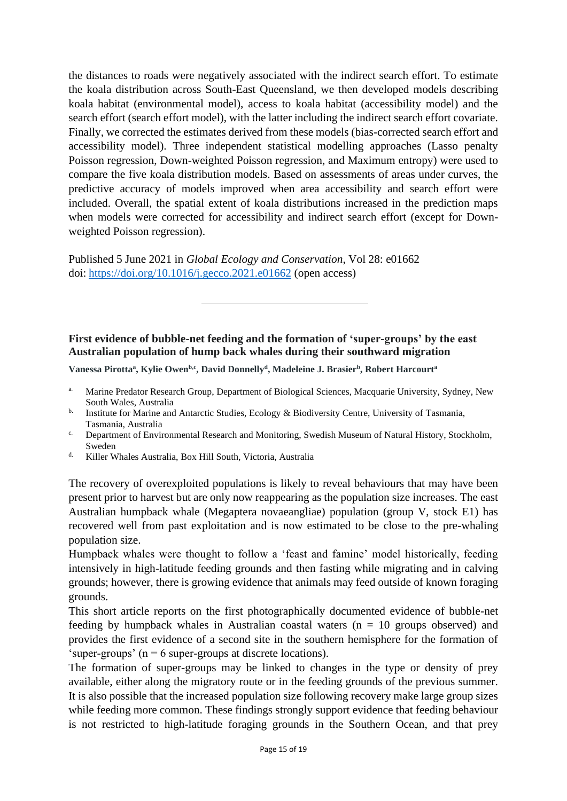the distances to roads were negatively associated with the indirect search effort. To estimate the koala distribution across South-East Queensland, we then developed models describing koala habitat (environmental model), access to koala habitat (accessibility model) and the search effort (search effort model), with the latter including the indirect search effort covariate. Finally, we corrected the estimates derived from these models (bias-corrected search effort and accessibility model). Three independent statistical modelling approaches (Lasso penalty Poisson regression, Down-weighted Poisson regression, and Maximum entropy) were used to compare the five koala distribution models. Based on assessments of areas under curves, the predictive accuracy of models improved when area accessibility and search effort were included. Overall, the spatial extent of koala distributions increased in the prediction maps when models were corrected for accessibility and indirect search effort (except for Downweighted Poisson regression).

Published 5 June 2021 in *Global Ecology and Conservation*, Vol 28: e01662 doi: <https://doi.org/10.1016/j.gecco.2021.e01662> (open access)

## **First evidence of bubble-net feeding and the formation of 'super-groups' by the east Australian population of hump back whales during their southward migration**

**Vanessa Pirotta<sup>a</sup> , Kylie Owenb,c, David Donnelly<sup>d</sup> , Madeleine J. Brasier<sup>b</sup> , Robert Harcourt<sup>a</sup>**

- <sup>a.</sup> Marine Predator Research Group, Department of Biological Sciences, Macquarie University, Sydney, New South Wales, Australia
- $b$ . Institute for Marine and Antarctic Studies, Ecology & Biodiversity Centre, University of Tasmania, Tasmania, Australia
- <sup>c.</sup> Department of Environmental Research and Monitoring, Swedish Museum of Natural History, Stockholm, Sweden
- d. Killer Whales Australia, Box Hill South, Victoria, Australia

The recovery of overexploited populations is likely to reveal behaviours that may have been present prior to harvest but are only now reappearing as the population size increases. The east Australian humpback whale (Megaptera novaeangliae) population (group V, stock E1) has recovered well from past exploitation and is now estimated to be close to the pre-whaling population size.

Humpback whales were thought to follow a 'feast and famine' model historically, feeding intensively in high-latitude feeding grounds and then fasting while migrating and in calving grounds; however, there is growing evidence that animals may feed outside of known foraging grounds.

This short article reports on the first photographically documented evidence of bubble-net feeding by humpback whales in Australian coastal waters  $(n = 10$  groups observed) and provides the first evidence of a second site in the southern hemisphere for the formation of 'super-groups' ( $n = 6$  super-groups at discrete locations).

The formation of super-groups may be linked to changes in the type or density of prey available, either along the migratory route or in the feeding grounds of the previous summer. It is also possible that the increased population size following recovery make large group sizes while feeding more common. These findings strongly support evidence that feeding behaviour is not restricted to high-latitude foraging grounds in the Southern Ocean, and that prey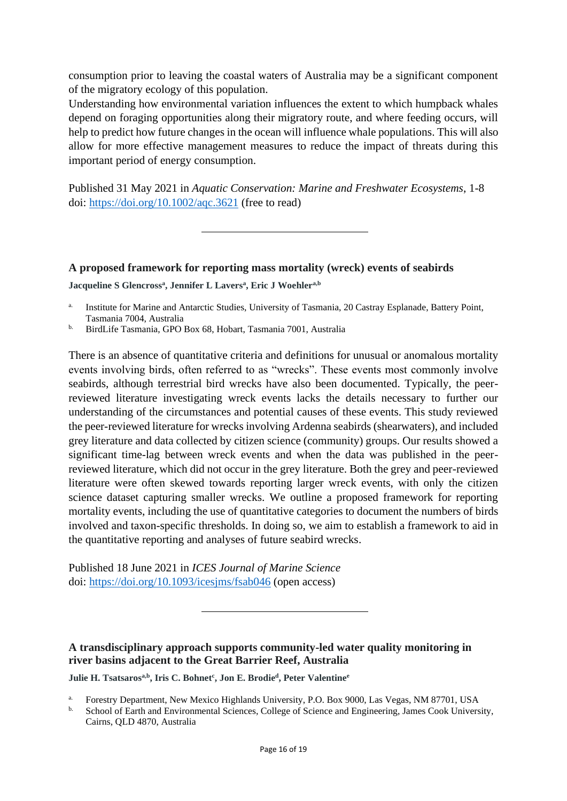consumption prior to leaving the coastal waters of Australia may be a significant component of the migratory ecology of this population.

Understanding how environmental variation influences the extent to which humpback whales depend on foraging opportunities along their migratory route, and where feeding occurs, will help to predict how future changes in the ocean will influence whale populations. This will also allow for more effective management measures to reduce the impact of threats during this important period of energy consumption.

Published 31 May 2021 in *Aquatic Conservation: Marine and Freshwater Ecosystems*, 1-8 doi:<https://doi.org/10.1002/aqc.3621> (free to read)

# **A proposed framework for reporting mass mortality (wreck) events of seabirds Jacqueline S Glencross<sup>a</sup> , Jennifer L Lavers<sup>a</sup> , Eric J Woehlera,b**

- <sup>a.</sup> Institute for Marine and Antarctic Studies, University of Tasmania, 20 Castray Esplanade, Battery Point, Tasmania 7004, Australia
- b. BirdLife Tasmania, GPO Box 68, Hobart, Tasmania 7001, Australia

There is an absence of quantitative criteria and definitions for unusual or anomalous mortality events involving birds, often referred to as "wrecks". These events most commonly involve seabirds, although terrestrial bird wrecks have also been documented. Typically, the peerreviewed literature investigating wreck events lacks the details necessary to further our understanding of the circumstances and potential causes of these events. This study reviewed the peer-reviewed literature for wrecks involving Ardenna seabirds (shearwaters), and included grey literature and data collected by citizen science (community) groups. Our results showed a significant time-lag between wreck events and when the data was published in the peerreviewed literature, which did not occur in the grey literature. Both the grey and peer-reviewed literature were often skewed towards reporting larger wreck events, with only the citizen science dataset capturing smaller wrecks. We outline a proposed framework for reporting mortality events, including the use of quantitative categories to document the numbers of birds involved and taxon-specific thresholds. In doing so, we aim to establish a framework to aid in the quantitative reporting and analyses of future seabird wrecks.

Published 18 June 2021 in *ICES Journal of Marine Science* doi:<https://doi.org/10.1093/icesjms/fsab046> (open access)

## **A transdisciplinary approach supports community-led water quality monitoring in river basins adjacent to the Great Barrier Reef, Australia**

**Julie H. Tsatsarosa,b , Iris C. Bohnet<sup>c</sup> , Jon E. Brodie<sup>d</sup> , Peter Valentine<sup>e</sup>**

a. Forestry Department, New Mexico Highlands University, P.O. Box 9000, Las Vegas, NM 87701, USA

b. School of Earth and Environmental Sciences, College of Science and Engineering, James Cook University, Cairns, QLD 4870, Australia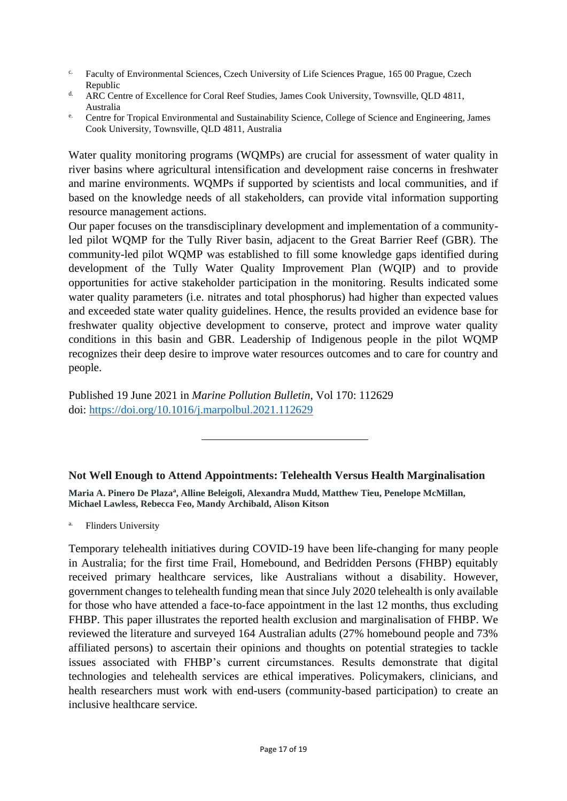- <sup>c.</sup> Faculty of Environmental Sciences, Czech University of Life Sciences Prague, 165 00 Prague, Czech Republic
- <sup>d.</sup> ARC Centre of Excellence for Coral Reef Studies, James Cook University, Townsville, OLD 4811, Australia
- <sup>e.</sup> Centre for Tropical Environmental and Sustainability Science, College of Science and Engineering, James Cook University, Townsville, QLD 4811, Australia

Water quality monitoring programs (WQMPs) are crucial for assessment of water quality in river basins where agricultural intensification and development raise concerns in freshwater and marine environments. WQMPs if supported by scientists and local communities, and if based on the knowledge needs of all stakeholders, can provide vital information supporting resource management actions.

Our paper focuses on the transdisciplinary development and implementation of a communityled pilot WQMP for the Tully River basin, adjacent to the Great Barrier Reef (GBR). The community-led pilot WQMP was established to fill some knowledge gaps identified during development of the Tully Water Quality Improvement Plan (WQIP) and to provide opportunities for active stakeholder participation in the monitoring. Results indicated some water quality parameters (i.e. nitrates and total phosphorus) had higher than expected values and exceeded state water quality guidelines. Hence, the results provided an evidence base for freshwater quality objective development to conserve, protect and improve water quality conditions in this basin and GBR. Leadership of Indigenous people in the pilot WQMP recognizes their deep desire to improve water resources outcomes and to care for country and people.

Published 19 June 2021 in *Marine Pollution Bulletin*, Vol 170: 112629 doi:<https://doi.org/10.1016/j.marpolbul.2021.112629>

## **Not Well Enough to Attend Appointments: Telehealth Versus Health Marginalisation**

**Maria A. Pinero De Plaza<sup>a</sup> , Alline Beleigoli, Alexandra Mudd, Matthew Tieu, Penelope McMillan, Michael Lawless, Rebecca Feo, Mandy Archibald, Alison Kitson**

a. Flinders University

Temporary telehealth initiatives during COVID-19 have been life-changing for many people in Australia; for the first time Frail, Homebound, and Bedridden Persons (FHBP) equitably received primary healthcare services, like Australians without a disability. However, government changes to telehealth funding mean that since July 2020 telehealth is only available for those who have attended a face-to-face appointment in the last 12 months, thus excluding FHBP. This paper illustrates the reported health exclusion and marginalisation of FHBP. We reviewed the literature and surveyed 164 Australian adults (27% homebound people and 73% affiliated persons) to ascertain their opinions and thoughts on potential strategies to tackle issues associated with FHBP's current circumstances. Results demonstrate that digital technologies and telehealth services are ethical imperatives. Policymakers, clinicians, and health researchers must work with end-users (community-based participation) to create an inclusive healthcare service.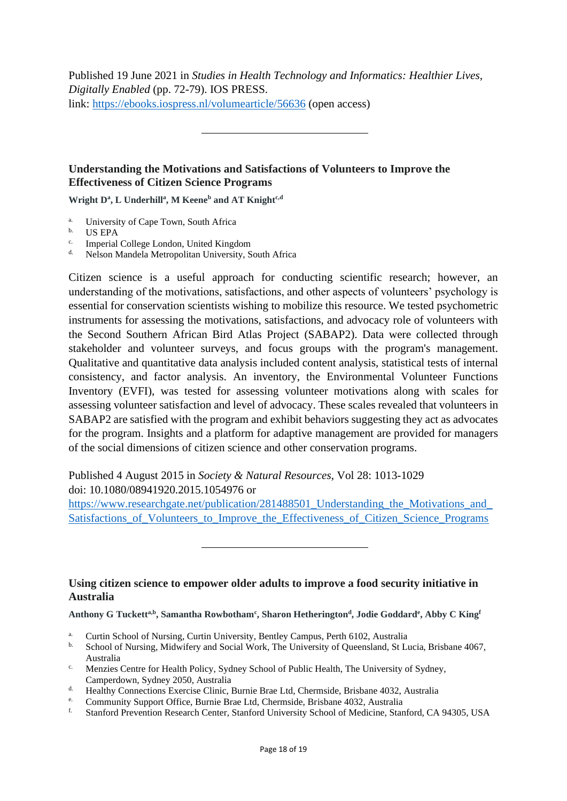Published 19 June 2021 in *Studies in Health Technology and Informatics: Healthier Lives, Digitally Enabled* (pp. 72-79). IOS PRESS. link:<https://ebooks.iospress.nl/volumearticle/56636> (open access)

## **Understanding the Motivations and Satisfactions of Volunteers to Improve the Effectiveness of Citizen Science Programs**

**Wright D<sup>a</sup> , L Underhill<sup>a</sup> , M Keene<sup>b</sup> and AT Knightc,d**

- <sup>a.</sup> University of Cape Town, South Africa
- b. US EPA
- c. Imperial College London, United Kingdom
- d. Nelson Mandela Metropolitan University, South Africa

Citizen science is a useful approach for conducting scientific research; however, an understanding of the motivations, satisfactions, and other aspects of volunteers' psychology is essential for conservation scientists wishing to mobilize this resource. We tested psychometric instruments for assessing the motivations, satisfactions, and advocacy role of volunteers with the Second Southern African Bird Atlas Project (SABAP2). Data were collected through stakeholder and volunteer surveys, and focus groups with the program's management. Qualitative and quantitative data analysis included content analysis, statistical tests of internal consistency, and factor analysis. An inventory, the Environmental Volunteer Functions Inventory (EVFI), was tested for assessing volunteer motivations along with scales for assessing volunteer satisfaction and level of advocacy. These scales revealed that volunteers in SABAP2 are satisfied with the program and exhibit behaviors suggesting they act as advocates for the program. Insights and a platform for adaptive management are provided for managers of the social dimensions of citizen science and other conservation programs.

Published 4 August 2015 in *Society & Natural Resources*, Vol 28: 1013-1029 doi: 10.1080/08941920.2015.1054976 or [https://www.researchgate.net/publication/281488501\\_Understanding\\_the\\_Motivations\\_and\\_](https://www.researchgate.net/publication/281488501_Understanding_the_Motivations_and_Satisfactions_of_Volunteers_to_Improve_the_Effectiveness_of_Citizen_Science_Programs) Satisfactions of Volunteers to Improve the Effectiveness of Citizen Science Programs

#### **Using citizen science to empower older adults to improve a food security initiative in Australia**

**Anthony G Tucketta,b, Samantha Rowbotham<sup>c</sup> , Sharon Hetherington<sup>d</sup> , Jodie Goddard<sup>e</sup> , Abby C King<sup>f</sup>**

- <sup>a.</sup> Curtin School of Nursing, Curtin University, Bentley Campus, Perth 6102, Australia
- b. School of Nursing, Midwifery and Social Work, The University of Queensland, St Lucia, Brisbane 4067, Australia
- <sup>c.</sup> Menzies Centre for Health Policy, Sydney School of Public Health, The University of Sydney, Camperdown, Sydney 2050, Australia
- d. Healthy Connections Exercise Clinic, Burnie Brae Ltd, Chermside, Brisbane 4032, Australia
- <sup>e.</sup> Community Support Office, Burnie Brae Ltd, Chermside, Brisbane 4032, Australia<br>
Stanford Prayontian Bassarab Captar, Stanford University Saboal of Madiaina, Stan
- f. Stanford Prevention Research Center, Stanford University School of Medicine, Stanford, CA 94305, USA